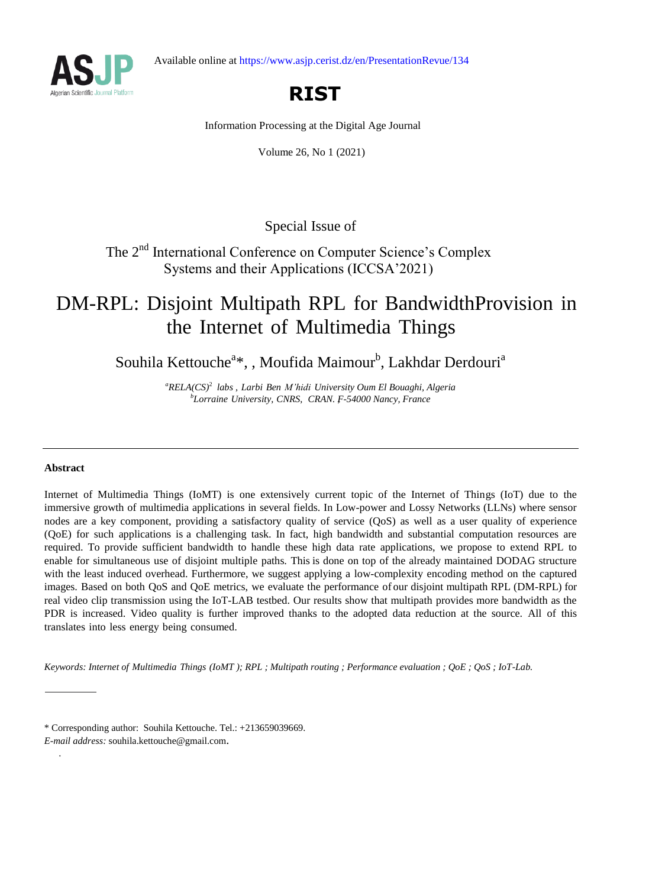Available online at https://www.asjp.cerist.dz/en/PresentationRevue/134



# **RIST**

Information Processing at the Digital Age Journal

Volume 26, No 1 (2021)

Special Issue of

The 2<sup>nd</sup> International Conference on Computer Science's Complex Systems and their Applications (ICCSA'2021)

## DM-RPL: Disjoint Multipath RPL for BandwidthProvision in the Internet of Multimedia Things

Souhila Kettouche<sup>a\*</sup>, , Moufida Maimour<sup>b</sup>, Lakhdar Derdouri<sup>a</sup>

*<sup>a</sup>RELA(CS)*<sup>2</sup> *labs , Larbi Ben M'hidi University Oum El Bouaghi, Algeria b Lorraine University, CNRS, CRAN. , F-54000 Nancy, France*

### **Abstract**

.

Internet of Multimedia Things (IoMT) is one extensively current topic of the Internet of Things (IoT) due to the immersive growth of multimedia applications in several fields. In Low-power and Lossy Networks (LLNs) where sensor nodes are a key component, providing a satisfactory quality of service (QoS) as well as a user quality of experience (QoE) for such applications is a challenging task. In fact, high bandwidth and substantial computation resources are required. To provide sufficient bandwidth to handle these high data rate applications, we propose to extend RPL to enable for simultaneous use of disjoint multiple paths. This is done on top of the already maintained DODAG structure with the least induced overhead. Furthermore, we suggest applying a low-complexity encoding method on the captured images. Based on both QoS and QoE metrics, we evaluate the performance of our disjoint multipath RPL (DM-RPL) for real video clip transmission using the IoT-LAB testbed. Our results show that multipath provides more bandwidth as the PDR is increased. Video quality is further improved thanks to the adopted data reduction at the source. All of this translates into less energy being consumed.

*Keywords: Internet of Multimedia Things (IoMT ); RPL ; Multipath routing ; Performance evaluation ; QoE ; QoS ; IoT-Lab.*

<sup>\*</sup> Corresponding author: Souhila Kettouche. Tel.: +213659039669.

*E-mail address:* [souhila.kettouche@gmail.com](mailto:souhila.kettouche@gmail.com).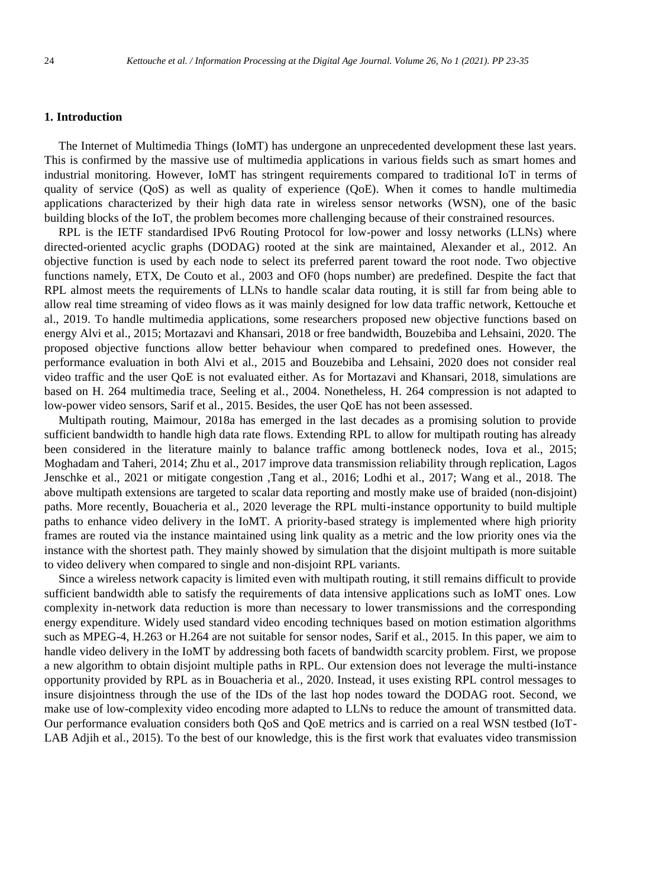#### **1. Introduction**

The Internet of Multimedia Things (IoMT) has undergone an unprecedented development these last years. This is confirmed by the massive use of multimedia applications in various fields such as smart homes and industrial monitoring. However, IoMT has stringent requirements compared to traditional IoT in terms of quality of service (QoS) as well as quality of experience (QoE). When it comes to handle multimedia applications characterized by their high data rate in wireless sensor networks (WSN), one of the basic building blocks of the IoT, the problem becomes more challenging because of their constrained resources.

RPL is the IETF standardised IPv6 Routing Protocol for low-power and lossy networks (LLNs) where directed-oriented acyclic graphs (DODAG) rooted at the sink are maintained, Alexander et al., 2012. An objective function is used by each node to select its preferred parent toward the root node. Two objective functions namely, ETX, De Couto et al., 2003 and OF0 (hops number) are predefined. Despite the fact that RPL almost meets the requirements of LLNs to handle scalar data routing, it is still far from being able to allow real time streaming of video flows as it was mainly designed for low data traffic network, Kettouche et al., 2019. To handle multimedia applications, some researchers proposed new objective functions based on energy Alvi et al., 2015; Mortazavi and Khansari, 2018 or free bandwidth, Bouzebiba and Lehsaini, 2020. The proposed objective functions allow better behaviour when compared to predefined ones. However, the performance evaluation in both Alvi et al., 2015 and Bouzebiba and Lehsaini, 2020 does not consider real video traffic and the user QoE is not evaluated either. As for Mortazavi and Khansari, 2018, simulations are based on H. 264 multimedia trace, Seeling et al., 2004. Nonetheless, H. 264 compression is not adapted to low-power video sensors, Sarif et al., 2015. Besides, the user QoE has not been assessed.

Multipath routing, Maimour, 2018a has emerged in the last decades as a promising solution to provide sufficient bandwidth to handle high data rate flows. Extending RPL to allow for multipath routing has already been considered in the literature mainly to balance traffic among bottleneck nodes, Iova et al., 2015; Moghadam and Taheri, 2014; Zhu et al., 2017 improve data transmission reliability through replication, Lagos Jenschke et al., 2021 or mitigate congestion ,Tang et al., 2016; Lodhi et al., 2017; Wang et al., 2018. The above multipath extensions are targeted to scalar data reporting and mostly make use of braided (non-disjoint) paths. More recently, Bouacheria et al., 2020 leverage the RPL multi-instance opportunity to build multiple paths to enhance video delivery in the IoMT. A priority-based strategy is implemented where high priority frames are routed via the instance maintained using link quality as a metric and the low priority ones via the instance with the shortest path. They mainly showed by simulation that the disjoint multipath is more suitable to video delivery when compared to single and non-disjoint RPL variants.

Since a wireless network capacity is limited even with multipath routing, it still remains difficult to provide sufficient bandwidth able to satisfy the requirements of data intensive applications such as IoMT ones. Low complexity in-network data reduction is more than necessary to lower transmissions and the corresponding energy expenditure. Widely used standard video encoding techniques based on motion estimation algorithms such as MPEG-4, H.263 or H.264 are not suitable for sensor nodes, Sarif et al., 2015. In this paper, we aim to handle video delivery in the IoMT by addressing both facets of bandwidth scarcity problem. First, we propose a new algorithm to obtain disjoint multiple paths in RPL. Our extension does not leverage the multi-instance opportunity provided by RPL as in Bouacheria et al., 2020. Instead, it uses existing RPL control messages to insure disjointness through the use of the IDs of the last hop nodes toward the DODAG root. Second, we make use of low-complexity video encoding more adapted to LLNs to reduce the amount of transmitted data. Our performance evaluation considers both QoS and QoE metrics and is carried on a real WSN testbed (IoT-LAB Adjih et al., 2015). To the best of our knowledge, this is the first work that evaluates video transmission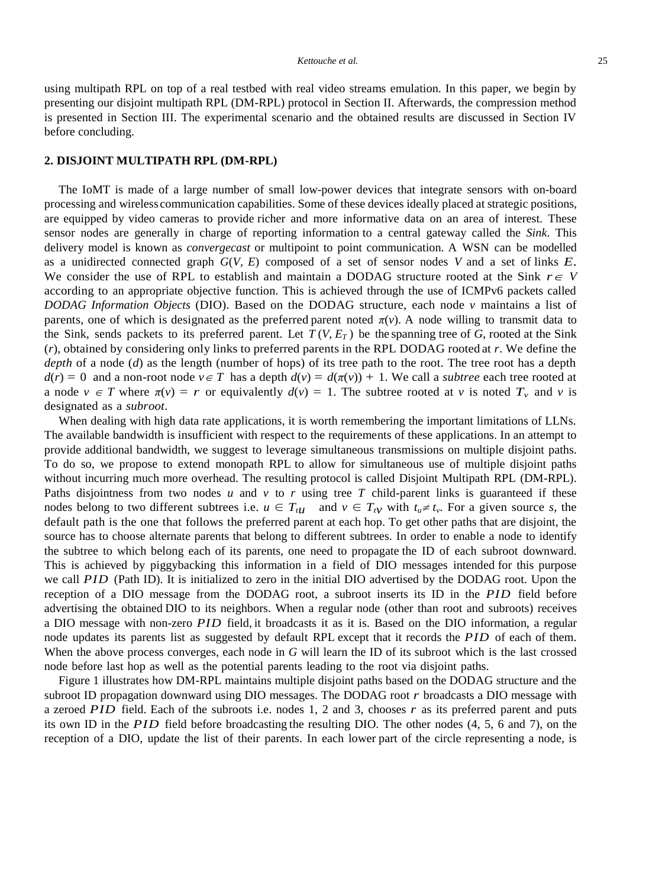using multipath RPL on top of a real testbed with real video streams emulation. In this paper, we begin by presenting our disjoint multipath RPL (DM-RPL) protocol in Section II. Afterwards, the compression method is presented in Section III. The experimental scenario and the obtained results are discussed in Section IV before concluding.

#### **2. DISJOINT MULTIPATH RPL (DM-RPL)**

The IoMT is made of a large number of small low-power devices that integrate sensors with on-board processing and wireless communication capabilities. Some of these devices ideally placed at strategic positions, are equipped by video cameras to provide richer and more informative data on an area of interest. These sensor nodes are generally in charge of reporting information to a central gateway called the *Sink*. This delivery model is known as *convergecast* or multipoint to point communication. A WSN can be modelled as a unidirected connected graph *G*(*V, E*) composed of a set of sensor nodes *V* and a set of links *E*. We consider the use of RPL to establish and maintain a DODAG structure rooted at the Sink  $r \in V$ according to an appropriate objective function. This is achieved through the use of ICMPv6 packets called *DODAG Information Objects* (DIO). Based on the DODAG structure, each node *v* maintains a list of parents, one of which is designated as the preferred parent noted  $\pi(v)$ . A node willing to transmit data to the Sink, sends packets to its preferred parent. Let  $T(V, E_T)$  be the spanning tree of *G*, rooted at the Sink (*r*), obtained by considering only links to preferred parents in the RPL DODAG rooted at *r*. We define the *depth* of a node (*d*) as the length (number of hops) of its tree path to the root. The tree root has a depth  $d(r) = 0$  and a non-root node  $v \in T$  has a depth  $d(v) = d(\pi(v)) + 1$ . We call a *subtree* each tree rooted at a node  $v \in T$  where  $\pi(v) = r$  or equivalently  $d(v) = 1$ . The subtree rooted at *v* is noted  $T_v$  and *v* is designated as a *subroot*.

When dealing with high data rate applications, it is worth remembering the important limitations of LLNs. The available bandwidth is insufficient with respect to the requirements of these applications. In an attempt to provide additional bandwidth, we suggest to leverage simultaneous transmissions on multiple disjoint paths. To do so, we propose to extend monopath RPL to allow for simultaneous use of multiple disjoint paths without incurring much more overhead. The resulting protocol is called Disjoint Multipath RPL (DM-RPL). Paths disjointness from two nodes  $u$  and  $v$  to  $r$  using tree  $T$  child-parent links is guaranteed if these nodes belong to two different subtrees i.e.  $u \in T_{t}$  and  $v \in T_{t}$  with  $t_u \neq t_v$ . For a given source *s*, the default path is the one that follows the preferred parent at each hop. To get other paths that are disjoint, the source has to choose alternate parents that belong to different subtrees. In order to enable a node to identify the subtree to which belong each of its parents, one need to propagate the ID of each subroot downward. This is achieved by piggybacking this information in a field of DIO messages intended for this purpose we call *PID* (Path ID). It is initialized to zero in the initial DIO advertised by the DODAG root. Upon the reception of a DIO message from the DODAG root, a subroot inserts its ID in the *PID* field before advertising the obtained DIO to its neighbors. When a regular node (other than root and subroots) receives a DIO message with non-zero *PID* field, it broadcasts it as it is. Based on the DIO information, a regular node updates its parents list as suggested by default RPL except that it records the *PID* of each of them. When the above process converges, each node in *G* will learn the ID of its subroot which is the last crossed node before last hop as well as the potential parents leading to the root via disjoint paths.

Figure 1 illustrates how DM-RPL maintains multiple disjoint paths based on the DODAG structure and the subroot ID propagation downward using DIO messages. The DODAG root *r* broadcasts a DIO message with a zeroed *PID* field. Each of the subroots i.e. nodes 1, 2 and 3, chooses *r* as its preferred parent and puts its own ID in the *PID* field before broadcasting the resulting DIO. The other nodes (4, 5, 6 and 7), on the reception of a DIO, update the list of their parents. In each lower part of the circle representing a node, is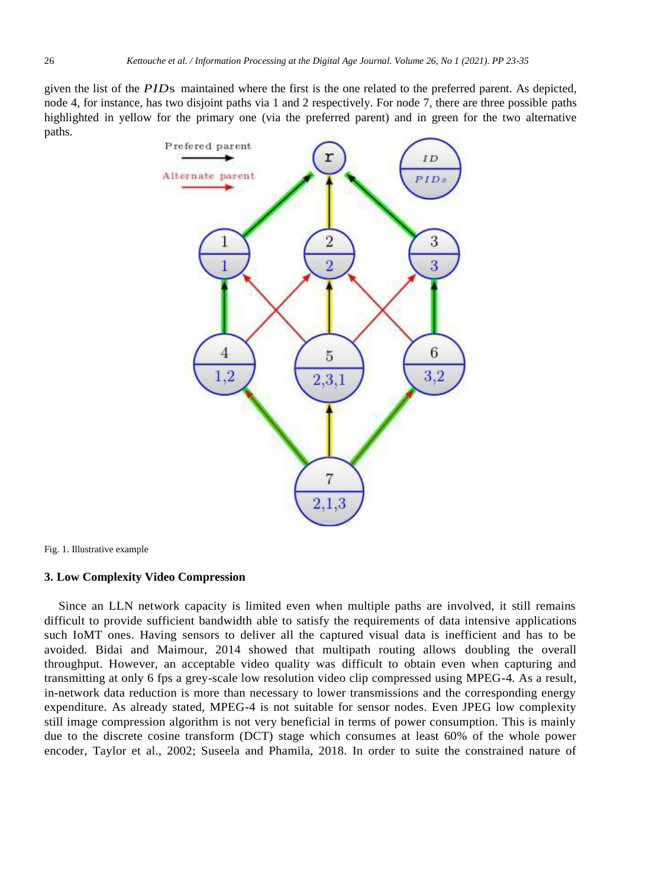given the list of the *PID*s maintained where the first is the one related to the preferred parent. As depicted, node 4, for instance, has two disjoint paths via 1 and 2 respectively. For node 7, there are three possible paths highlighted in yellow for the primary one (via the preferred parent) and in green for the two alternative paths.



Fig. 1. Illustrative example

#### **3. Low Complexity Video Compression**

Since an LLN network capacity is limited even when multiple paths are involved, it still remains difficult to provide sufficient bandwidth able to satisfy the requirements of data intensive applications such IoMT ones. Having sensors to deliver all the captured visual data is inefficient and has to be avoided. Bidai and Maimour, 2014 showed that multipath routing allows doubling the overall throughput. However, an acceptable video quality was difficult to obtain even when capturing and transmitting at only 6 fps a grey-scale low resolution video clip compressed using MPEG-4. As a result, in-network data reduction is more than necessary to lower transmissions and the corresponding energy expenditure. As already stated, MPEG-4 is not suitable for sensor nodes. Even JPEG low complexity still image compression algorithm is not very beneficial in terms of power consumption. This is mainly due to the discrete cosine transform (DCT) stage which consumes at least 60% of the whole power encoder, Taylor et al., 2002; Suseela and Phamila, 2018. In order to suite the constrained nature of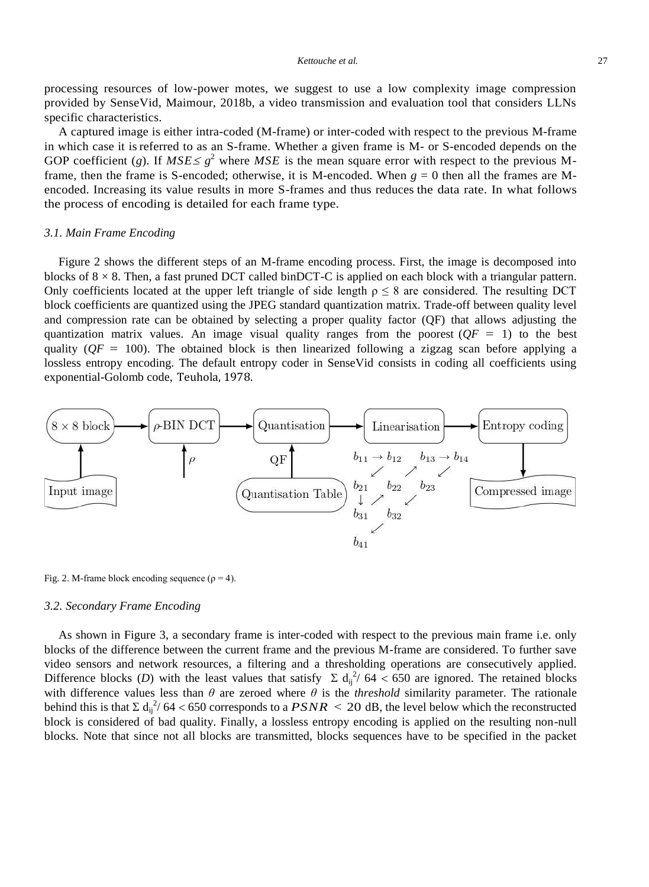#### *Kettouche et al.* 27

processing resources of low-power motes, we suggest to use a low complexity image compression provided by SenseVid, Maimour, 2018b, a video transmission and evaluation tool that considers LLNs specific characteristics.

A captured image is either intra-coded (M-frame) or inter-coded with respect to the previous M-frame in which case it isreferred to as an S-frame. Whether a given frame is M- or S-encoded depends on the GOP coefficient (*g*). If  $MSE \leq g^2$  where MSE is the mean square error with respect to the previous Mframe, then the frame is S-encoded; otherwise, it is M-encoded. When  $g = 0$  then all the frames are Mencoded. Increasing its value results in more S-frames and thus reduces the data rate. In what follows the process of encoding is detailed for each frame type.

#### *3.1. Main Frame Encoding*

Figure 2 shows the different steps of an M-frame encoding process. First, the image is decomposed into blocks of  $8 \times 8$ . Then, a fast pruned DCT called binDCT-C is applied on each block with a triangular pattern. Only coefficients located at the upper left triangle of side length  $\rho \leq 8$  are considered. The resulting DCT block coefficients are quantized using the JPEG standard quantization matrix. Trade-off between quality level and compression rate can be obtained by selecting a proper quality factor (QF) that allows adjusting the quantization matrix values. An image visual quality ranges from the poorest  $(QF = 1)$  to the best quality ( $QF = 100$ ). The obtained block is then linearized following a zigzag scan before applying a lossless entropy encoding. The default entropy coder in SenseVid consists in coding all coefficients using exponential-Golomb code, Teuhola, 1978.



Fig. 2. M-frame block encoding sequence ( $\rho = 4$ ).

### *3.2. Secondary Frame Encoding*

As shown in Figure 3, a secondary frame is inter-coded with respect to the previous main frame i.e. only blocks of the difference between the current frame and the previous M-frame are considered. To further save video sensors and network resources, a filtering and a thresholding operations are consecutively applied. Difference blocks (*D*) with the least values that satisfy  $\Sigma d_{ij}^2/64 < 650$  are ignored. The retained blocks with difference values less than  $\theta$  are zeroed where  $\theta$  is the *threshold* similarity parameter. The rationale behind this is that  $\sum d_{ij}^{2}/64 < 650$  corresponds to a  $PSNR < 20$  dB, the level below which the reconstructed block is considered of bad quality. Finally, a lossless entropy encoding is applied on the resulting non-null blocks. Note that since not all blocks are transmitted, blocks sequences have to be specified in the packet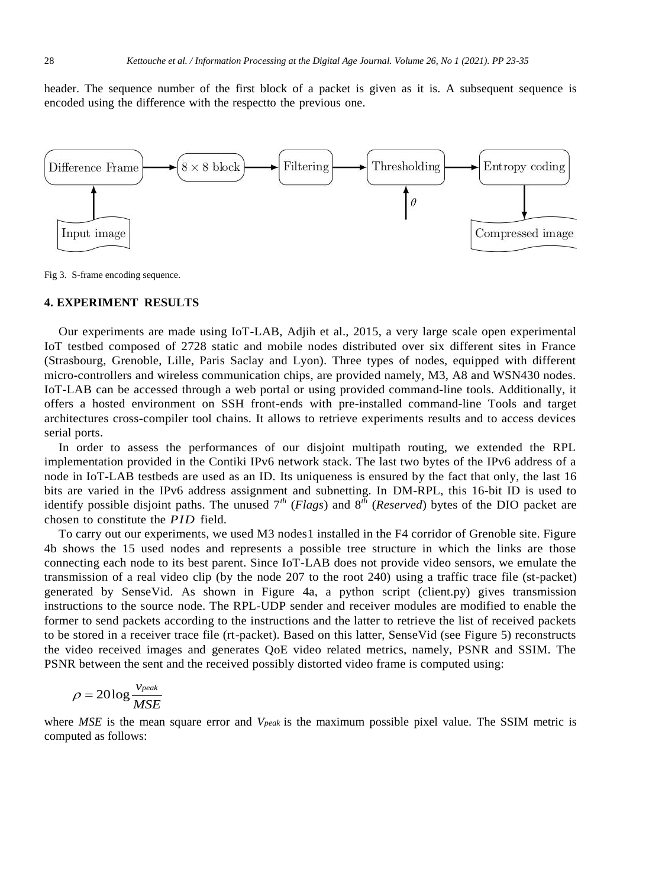header. The sequence number of the first block of a packet is given as it is. A subsequent sequence is encoded using the difference with the respectto the previous one.



Fig 3. S-frame encoding sequence.

#### **4. EXPERIMENT RESULTS**

Our experiments are made using IoT-LAB, Adjih et al., 2015, a very large scale open experimental IoT testbed composed of 2728 static and mobile nodes distributed over six different sites in France (Strasbourg, Grenoble, Lille, Paris Saclay and Lyon). Three types of nodes, equipped with different micro-controllers and wireless communication chips, are provided namely, M3, A8 and WSN430 nodes. IoT-LAB can be accessed through a web portal or using provided command-line tools. Additionally, it offers a hosted environment on SSH front-ends with pre-installed command-line Tools and target architectures cross-compiler tool chains. It allows to retrieve experiments results and to access devices serial ports.

In order to assess the performances of our disjoint multipath routing, we extended the RPL implementation provided in the Contiki IPv6 network stack. The last two bytes of the IPv6 address of a node in IoT-LAB testbeds are used as an ID. Its uniqueness is ensured by the fact that only, the last 16 bits are varied in the IPv6 address assignment and subnetting. In DM-RPL, this 16-bit ID is used to identify possible disjoint paths. The unused 7*th* (*Flags*) and 8*th* (*Reserved*) bytes of the DIO packet are chosen to constitute the *PID* field.

To carry out our experiments, we used M3 nodes1 installed in the F4 corridor of Grenoble site. Figure 4b shows the 15 used nodes and represents a possible tree structure in which the links are those connecting each node to its best parent. Since IoT-LAB does not provide video sensors, we emulate the transmission of a real video clip (by the node 207 to the root 240) using a traffic trace file (st-packet) generated by SenseVid. As shown in Figure 4a, a python script (client.py) gives transmission instructions to the source node. The RPL-UDP sender and receiver modules are modified to enable the former to send packets according to the instructions and the latter to retrieve the list of received packets to be stored in a receiver trace file (rt-packet). Based on this latter, SenseVid (see Figure 5) reconstructs the video received images and generates QoE video related metrics, namely, PSNR and SSIM. The PSNR between the sent and the received possibly distorted video frame is computed using:

$$
\rho = 20 \log \frac{v_{peak}}{MSE}
$$

where *MSE* is the mean square error and *Vpeak* is the maximum possible pixel value. The SSIM metric is computed as follows: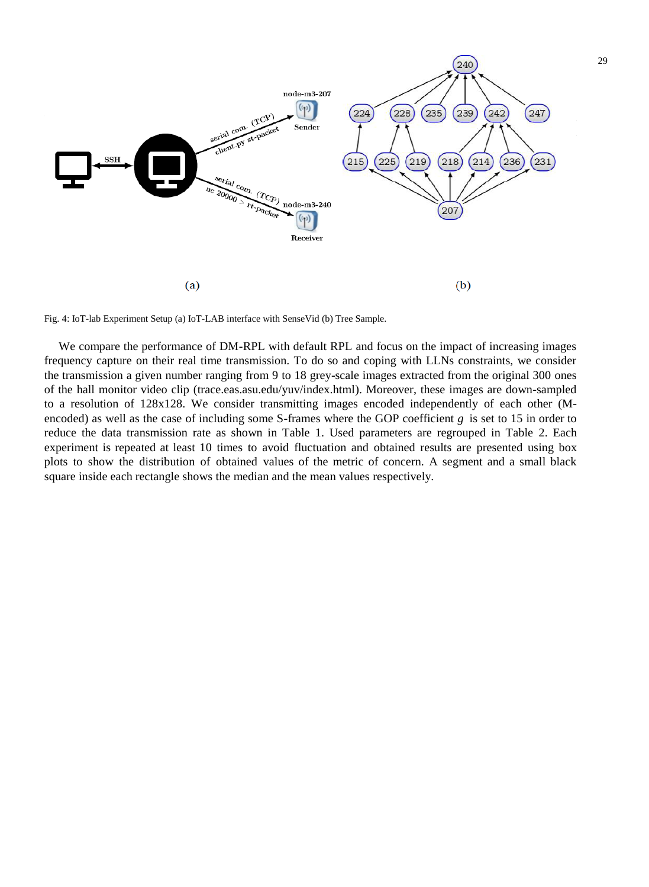

Fig. 4: IoT-lab Experiment Setup (a) IoT-LAB interface with SenseVid (b) Tree Sample.

We compare the performance of DM-RPL with default RPL and focus on the impact of increasing images frequency capture on their real time transmission. To do so and coping with LLNs constraints, we consider the transmission a given number ranging from 9 to 18 grey-scale images extracted from the original 300 ones of the hall monitor video clip (trace.eas.asu.edu/yuv/index.html). Moreover, these images are down-sampled to a resolution of 128x128. We consider transmitting images encoded independently of each other (Mencoded) as well as the case of including some S-frames where the GOP coefficient *g* is set to 15 in order to reduce the data transmission rate as shown in Table 1. Used parameters are regrouped in Table 2. Each experiment is repeated at least 10 times to avoid fluctuation and obtained results are presented using box plots to show the distribution of obtained values of the metric of concern. A segment and a small black square inside each rectangle shows the median and the mean values respectively.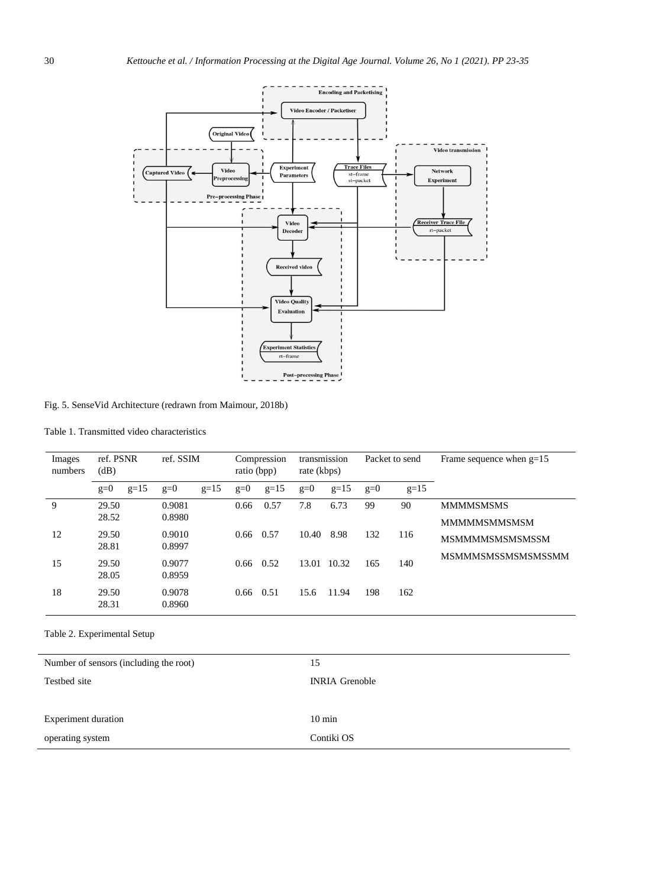

Fig. 5. SenseVid Architecture (redrawn from Maimour, 2018b)

Table 1. Transmitted video characteristics

| Images<br>numbers | ref. PSNR<br>(dB) | ref. SSIM       | Compression<br>ratio (bpp) | transmission<br>rate (kbps) | Packet to send  | Frame sequence when $g=15$ |
|-------------------|-------------------|-----------------|----------------------------|-----------------------------|-----------------|----------------------------|
|                   | $g=15$<br>$g=0$   | $g=0$<br>$g=15$ | $g=0$<br>$g=15$            | $g=15$<br>$g=0$             | $g=0$<br>$g=15$ |                            |
| 9                 | 29.50             | 0.9081          | 0.57<br>0.66               | 7.8<br>6.73                 | 99<br>90        | <b>MMMMSMSMS</b>           |
|                   | 28.52             | 0.8980          |                            |                             |                 | <b>MMMMSMMSMSM</b>         |
| 12                | 29.50             | 0.9010          | 0.57<br>0.66               | 10.40<br>8.98               | 132<br>116      | <b>MSMMMMSMSMSSM</b>       |
|                   | 28.81             | 0.8997          |                            |                             |                 | <b>MSMMMSMSSMSMSSMSSMM</b> |
| 15                | 29.50             | 0.9077          | $0.66 \quad 0.52$          | 13.01<br>10.32              | 165<br>140      |                            |
|                   | 28.05             | 0.8959          |                            |                             |                 |                            |
| 18                | 29.50             | 0.9078          | 0.51<br>0.66               | 11.94<br>15.6               | 198<br>162      |                            |
|                   | 28.31             | 0.8960          |                            |                             |                 |                            |

Table 2. Experimental Setup

| Number of sensors (including the root) | 15                    |  |  |
|----------------------------------------|-----------------------|--|--|
| Testbed site                           | <b>INRIA Grenoble</b> |  |  |
|                                        |                       |  |  |
| Experiment duration                    | $10 \text{ min}$      |  |  |
| operating system                       | Contiki OS            |  |  |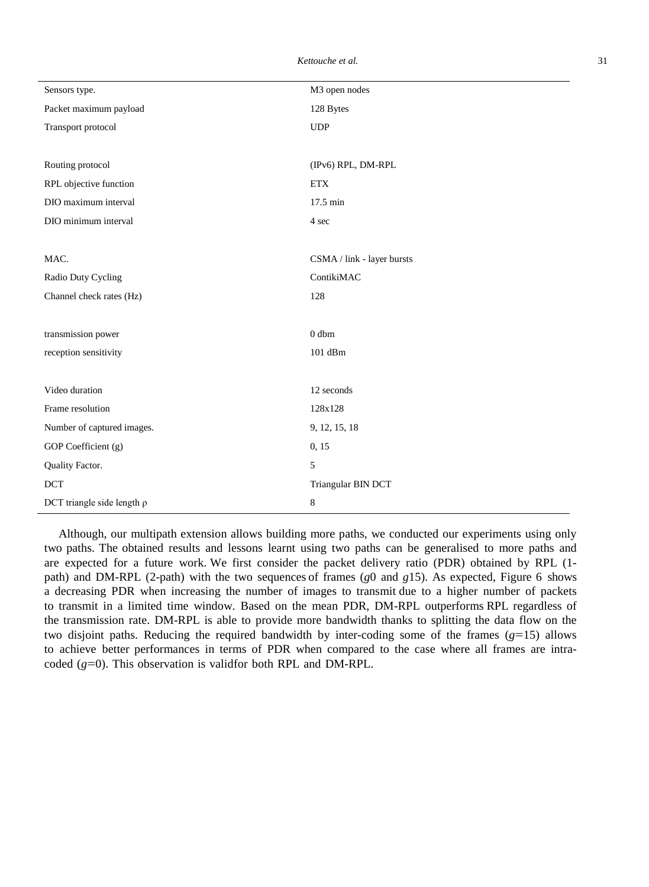| Sensors type.                   | M3 open nodes              |  |  |
|---------------------------------|----------------------------|--|--|
| Packet maximum payload          | 128 Bytes                  |  |  |
| Transport protocol              | <b>UDP</b>                 |  |  |
|                                 |                            |  |  |
| Routing protocol                | (IPv6) RPL, DM-RPL         |  |  |
| RPL objective function          | <b>ETX</b>                 |  |  |
| DIO maximum interval            | 17.5 min                   |  |  |
| DIO minimum interval            | 4 sec                      |  |  |
|                                 |                            |  |  |
| MAC.                            | CSMA / link - layer bursts |  |  |
| Radio Duty Cycling              | ContikiMAC                 |  |  |
| Channel check rates (Hz)        | 128                        |  |  |
|                                 |                            |  |  |
| transmission power              | 0 <sub>dbm</sub>           |  |  |
| reception sensitivity           | $101$ dBm                  |  |  |
|                                 |                            |  |  |
| Video duration                  | 12 seconds                 |  |  |
| Frame resolution                | 128x128                    |  |  |
| Number of captured images.      | 9, 12, 15, 18              |  |  |
| GOP Coefficient (g)             | 0, 15                      |  |  |
| Quality Factor.                 | 5                          |  |  |
| <b>DCT</b>                      | Triangular BIN DCT         |  |  |
| DCT triangle side length $\rho$ | 8                          |  |  |

Although, our multipath extension allows building more paths, we conducted our experiments using only two paths. The obtained results and lessons learnt using two paths can be generalised to more paths and are expected for a future work. We first consider the packet delivery ratio (PDR) obtained by RPL (1 path) and DM-RPL (2-path) with the two sequences of frames (*g*0 and *g*15). As expected, Figure 6 shows a decreasing PDR when increasing the number of images to transmit due to a higher number of packets to transmit in a limited time window. Based on the mean PDR, DM-RPL outperforms RPL regardless of the transmission rate. DM-RPL is able to provide more bandwidth thanks to splitting the data flow on the two disjoint paths. Reducing the required bandwidth by inter-coding some of the frames (*g*=15) allows to achieve better performances in terms of PDR when compared to the case where all frames are intracoded (*g*=0). This observation is validfor both RPL and DM-RPL.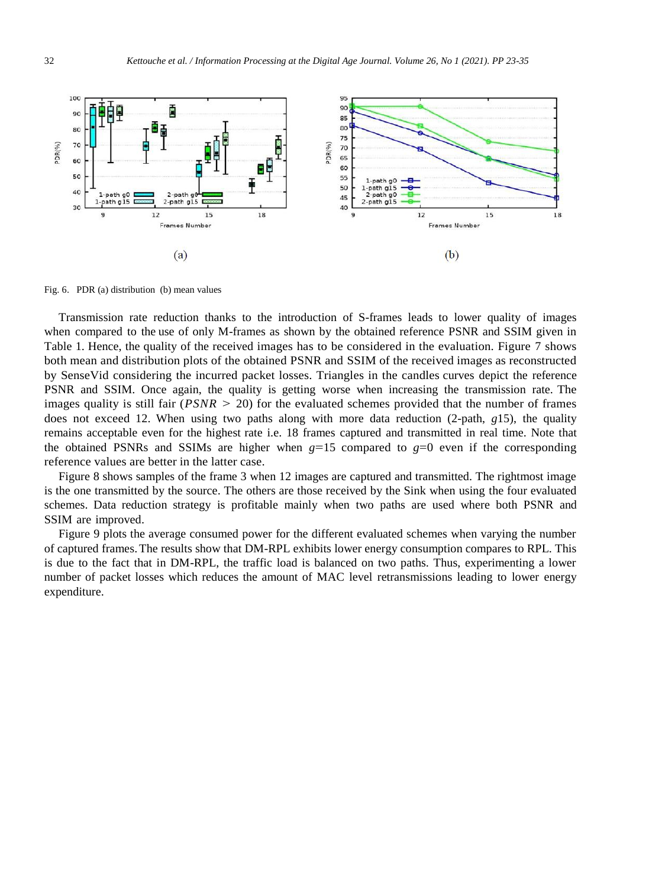

Fig. 6. PDR (a) distribution (b) mean values

Transmission rate reduction thanks to the introduction of S-frames leads to lower quality of images when compared to the use of only M-frames as shown by the obtained reference PSNR and SSIM given in Table 1. Hence, the quality of the received images has to be considered in the evaluation. Figure 7 shows both mean and distribution plots of the obtained PSNR and SSIM of the received images as reconstructed by SenseVid considering the incurred packet losses. Triangles in the candles curves depict the reference PSNR and SSIM. Once again, the quality is getting worse when increasing the transmission rate. The images quality is still fair  $(PSNR > 20)$  for the evaluated schemes provided that the number of frames does not exceed 12. When using two paths along with more data reduction (2-path, *g*15), the quality remains acceptable even for the highest rate i.e. 18 frames captured and transmitted in real time. Note that the obtained PSNRs and SSIMs are higher when  $g=15$  compared to  $g=0$  even if the corresponding reference values are better in the latter case.

Figure 8 shows samples of the frame 3 when 12 images are captured and transmitted. The rightmost image is the one transmitted by the source. The others are those received by the Sink when using the four evaluated schemes. Data reduction strategy is profitable mainly when two paths are used where both PSNR and SSIM are improved.

Figure 9 plots the average consumed power for the different evaluated schemes when varying the number of captured frames.The results show that DM-RPL exhibits lower energy consumption compares to RPL. This is due to the fact that in DM-RPL, the traffic load is balanced on two paths. Thus, experimenting a lower number of packet losses which reduces the amount of MAC level retransmissions leading to lower energy expenditure.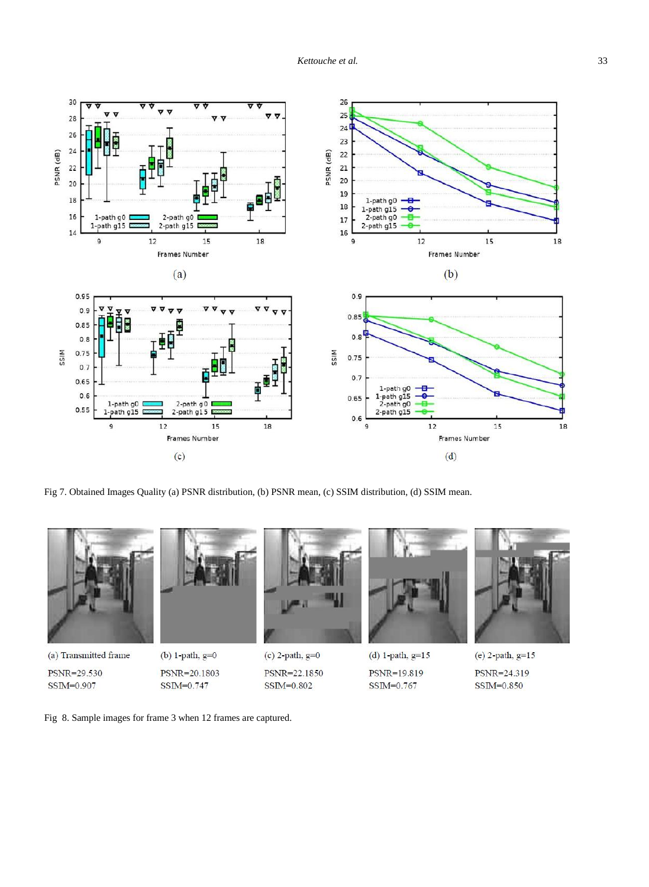

Fig 7. Obtained Images Quality (a) PSNR distribution, (b) PSNR mean, (c) SSIM distribution, (d) SSIM mean.



PSNR=29.530 SSIM=0.907

(b)  $1$ -path,  $g=0$ PSNR=20.1803  $SSIM=0.747$ 

 $(c)$  2-path,  $g=0$ PSNR=22.1850  $SSIM=0.802$ 



(d) 1-path,  $g=15$ PSNR=19.819  $SSIM=0.767$ 



(e)  $2$ -path,  $g=15$ PSNR=24.319  $SSIM=0.850$ 

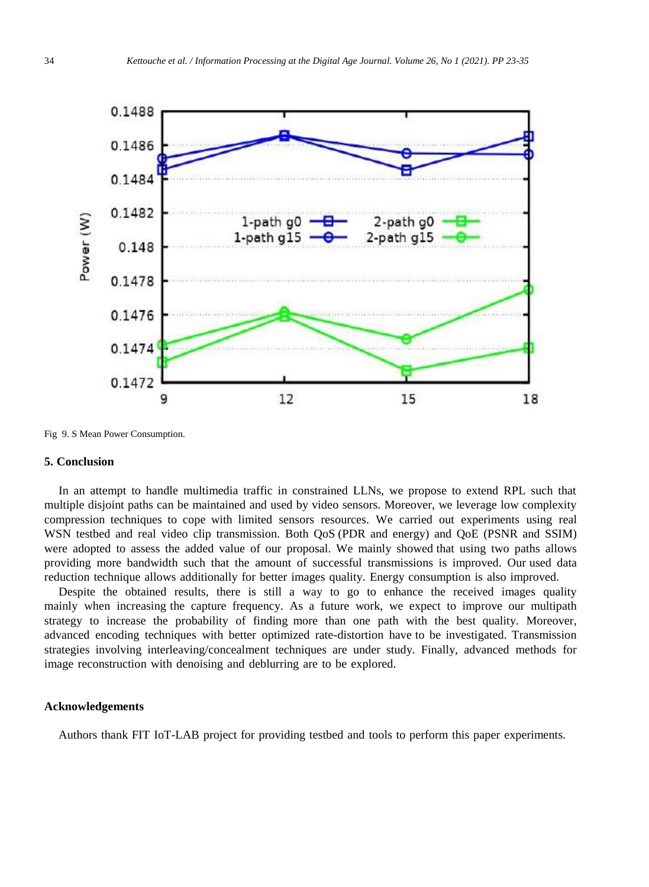

Fig 9. S Mean Power Consumption.

#### **5. Conclusion**

In an attempt to handle multimedia traffic in constrained LLNs, we propose to extend RPL such that multiple disjoint paths can be maintained and used by video sensors. Moreover, we leverage low complexity compression techniques to cope with limited sensors resources. We carried out experiments using real WSN testbed and real video clip transmission. Both QoS (PDR and energy) and QoE (PSNR and SSIM) were adopted to assess the added value of our proposal. We mainly showed that using two paths allows providing more bandwidth such that the amount of successful transmissions is improved. Our used data reduction technique allows additionally for better images quality. Energy consumption is also improved.

Despite the obtained results, there is still a way to go to enhance the received images quality mainly when increasing the capture frequency. As a future work, we expect to improve our multipath strategy to increase the probability of finding more than one path with the best quality. Moreover, advanced encoding techniques with better optimized rate-distortion have to be investigated. Transmission strategies involving interleaving/concealment techniques are under study. Finally, advanced methods for image reconstruction with denoising and deblurring are to be explored.

### **Acknowledgements**

Authors thank FIT IoT-LAB project for providing testbed and tools to perform this paper experiments.